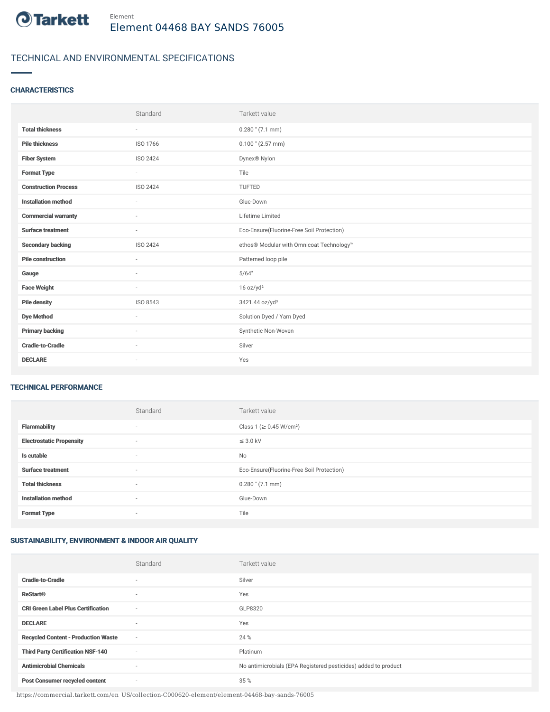

## TECHNICAL AND ENVIRONMENTAL SPECIFICATIONS

## **CHARACTERISTICS**

|                             | Standard                 | Tarkett value                             |
|-----------------------------|--------------------------|-------------------------------------------|
| <b>Total thickness</b>      | $\sim$                   | $0.280$ " (7.1 mm)                        |
| <b>Pile thickness</b>       | ISO 1766                 | $0.100$ " (2.57 mm)                       |
| <b>Fiber System</b>         | ISO 2424                 | Dynex <sup>®</sup> Nylon                  |
| <b>Format Type</b>          | $\sim$                   | Tile                                      |
| <b>Construction Process</b> | ISO 2424                 | <b>TUFTED</b>                             |
| <b>Installation method</b>  | $\sim$                   | Glue-Down                                 |
| <b>Commercial warranty</b>  | $\sim$                   | Lifetime Limited                          |
| <b>Surface treatment</b>    | $\sim$                   | Eco-Ensure(Fluorine-Free Soil Protection) |
| <b>Secondary backing</b>    | ISO 2424                 | ethos® Modular with Omnicoat Technology™  |
| <b>Pile construction</b>    |                          | Patterned loop pile                       |
| Gauge                       | i.                       | 5/64"                                     |
| <b>Face Weight</b>          | $\sim$                   | 16 oz/yd <sup>2</sup>                     |
| <b>Pile density</b>         | ISO 8543                 | 3421.44 oz/yd <sup>3</sup>                |
| <b>Dye Method</b>           | $\sim$                   | Solution Dyed / Yarn Dyed                 |
| <b>Primary backing</b>      | $\sim$                   | Synthetic Non-Woven                       |
| <b>Cradle-to-Cradle</b>     | $\overline{\phantom{a}}$ | Silver                                    |
| <b>DECLARE</b>              | $\overline{\phantom{a}}$ | Yes                                       |

#### TECHNICAL PERFORMANCE

|                                 | Standard                 | Tarkett value                             |
|---------------------------------|--------------------------|-------------------------------------------|
| <b>Flammability</b>             | $\overline{\phantom{a}}$ | Class 1 (≥ 0.45 W/cm <sup>2</sup> )       |
| <b>Electrostatic Propensity</b> | $\overline{\phantom{a}}$ | $\leq$ 3.0 kV                             |
| Is cutable                      | $\sim$                   | No                                        |
| <b>Surface treatment</b>        | $\sim$                   | Eco-Ensure(Fluorine-Free Soil Protection) |
| <b>Total thickness</b>          | $\overline{\phantom{a}}$ | $0.280$ " $(7.1$ mm)                      |
| <b>Installation method</b>      | $\overline{\phantom{a}}$ | Glue-Down                                 |
| <b>Format Type</b>              | $\overline{\phantom{a}}$ | Tile                                      |

# SUSTAINABILITY, ENVIRONMENT & INDOOR AIR QUALITY

|                                            | Standard | Tarkett value                                                  |
|--------------------------------------------|----------|----------------------------------------------------------------|
| <b>Cradle-to-Cradle</b>                    | $\sim$   | Silver                                                         |
| <b>ReStart<sup>®</sup></b>                 | $\sim$   | Yes                                                            |
| <b>CRI Green Label Plus Certification</b>  | $\sim$   | GLP8320                                                        |
| <b>DECLARE</b>                             | $\sim$   | Yes                                                            |
| <b>Recycled Content - Production Waste</b> | $\sim$   | 24 %                                                           |
| <b>Third Party Certification NSF-140</b>   | $\sim$   | Platinum                                                       |
| <b>Antimicrobial Chemicals</b>             | $\sim$   | No antimicrobials (EPA Registered pesticides) added to product |
| <b>Post Consumer recycled content</b>      | $\sim$   | 35 %                                                           |

https://commercial.tarkett.com/en\_US/collection-C000620-element/element-04468-bay-sands-76005